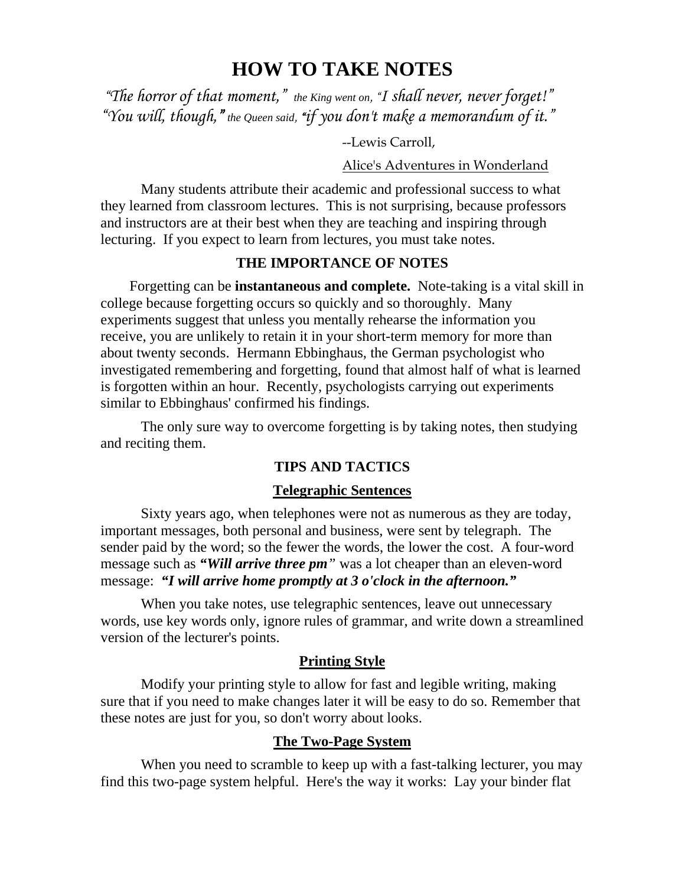# **HOW TO TAKE NOTES**

 *"The horror of that moment," the King went on, "I shall never, never forget!" "You will, though," the Queen said, "if you don't make a memorandum of it."*

--Lewis Carroll,

Alice's Adventures in Wonderland

 Many students attribute their academic and professional success to what they learned from classroom lectures. This is not surprising, because professors and instructors are at their best when they are teaching and inspiring through lecturing. If you expect to learn from lectures, you must take notes.

#### **THE IMPORTANCE OF NOTES**

Forgetting can be **instantaneous and complete.** Note-taking is a vital skill in college because forgetting occurs so quickly and so thoroughly. Many experiments suggest that unless you mentally rehearse the information you receive, you are unlikely to retain it in your short-term memory for more than about twenty seconds. Hermann Ebbinghaus, the German psychologist who investigated remembering and forgetting, found that almost half of what is learned is forgotten within an hour. Recently, psychologists carrying out experiments similar to Ebbinghaus' confirmed his findings.

 The only sure way to overcome forgetting is by taking notes, then studying and reciting them.

#### **TIPS AND TACTICS**

#### **Telegraphic Sentences**

 Sixty years ago, when telephones were not as numerous as they are today, important messages, both personal and business, were sent by telegraph. The sender paid by the word; so the fewer the words, the lower the cost. A four-word message such as *"Will arrive three pm"* was a lot cheaper than an eleven-word message: *"I will arrive home promptly at 3 o'clock in the afternoon."*

 When you take notes, use telegraphic sentences, leave out unnecessary words, use key words only, ignore rules of grammar, and write down a streamlined version of the lecturer's points.

#### **Printing Style**

 Modify your printing style to allow for fast and legible writing, making sure that if you need to make changes later it will be easy to do so. Remember that these notes are just for you, so don't worry about looks.

#### **The Two-Page System**

When you need to scramble to keep up with a fast-talking lecturer, you may find this two-page system helpful. Here's the way it works: Lay your binder flat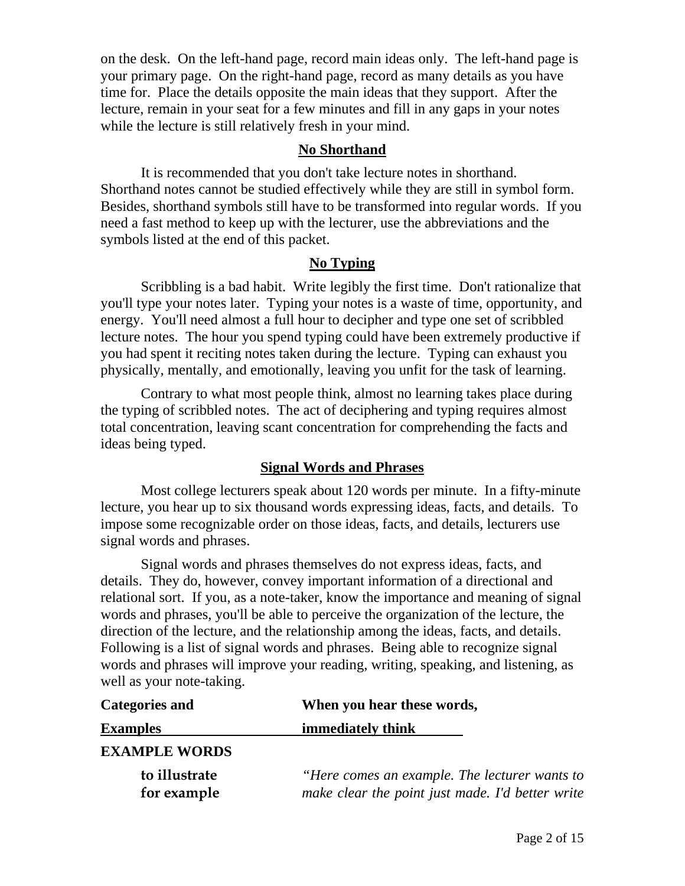on the desk. On the left-hand page, record main ideas only. The left-hand page is your primary page. On the right-hand page, record as many details as you have time for. Place the details opposite the main ideas that they support. After the lecture, remain in your seat for a few minutes and fill in any gaps in your notes while the lecture is still relatively fresh in your mind.

#### **No Shorthand**

 It is recommended that you don't take lecture notes in shorthand. Shorthand notes cannot be studied effectively while they are still in symbol form. Besides, shorthand symbols still have to be transformed into regular words. If you need a fast method to keep up with the lecturer, use the abbreviations and the symbols listed at the end of this packet.

## **No Typing**

 Scribbling is a bad habit. Write legibly the first time. Don't rationalize that you'll type your notes later. Typing your notes is a waste of time, opportunity, and energy. You'll need almost a full hour to decipher and type one set of scribbled lecture notes. The hour you spend typing could have been extremely productive if you had spent it reciting notes taken during the lecture. Typing can exhaust you physically, mentally, and emotionally, leaving you unfit for the task of learning.

 Contrary to what most people think, almost no learning takes place during the typing of scribbled notes. The act of deciphering and typing requires almost total concentration, leaving scant concentration for comprehending the facts and ideas being typed.

#### **Signal Words and Phrases**

 Most college lecturers speak about 120 words per minute. In a fifty-minute lecture, you hear up to six thousand words expressing ideas, facts, and details. To impose some recognizable order on those ideas, facts, and details, lecturers use signal words and phrases.

 Signal words and phrases themselves do not express ideas, facts, and details. They do, however, convey important information of a directional and relational sort. If you, as a note-taker, know the importance and meaning of signal words and phrases, you'll be able to perceive the organization of the lecture, the direction of the lecture, and the relationship among the ideas, facts, and details. Following is a list of signal words and phrases. Being able to recognize signal words and phrases will improve your reading, writing, speaking, and listening, as well as your note-taking.

| <b>Categories and</b>        | When you hear these words,                                                                        |  |
|------------------------------|---------------------------------------------------------------------------------------------------|--|
| <b>Examples</b>              | <b>immediately think</b>                                                                          |  |
| <b>EXAMPLE WORDS</b>         |                                                                                                   |  |
| to illustrate<br>for example | "Here comes an example. The lecturer wants to<br>make clear the point just made. I'd better write |  |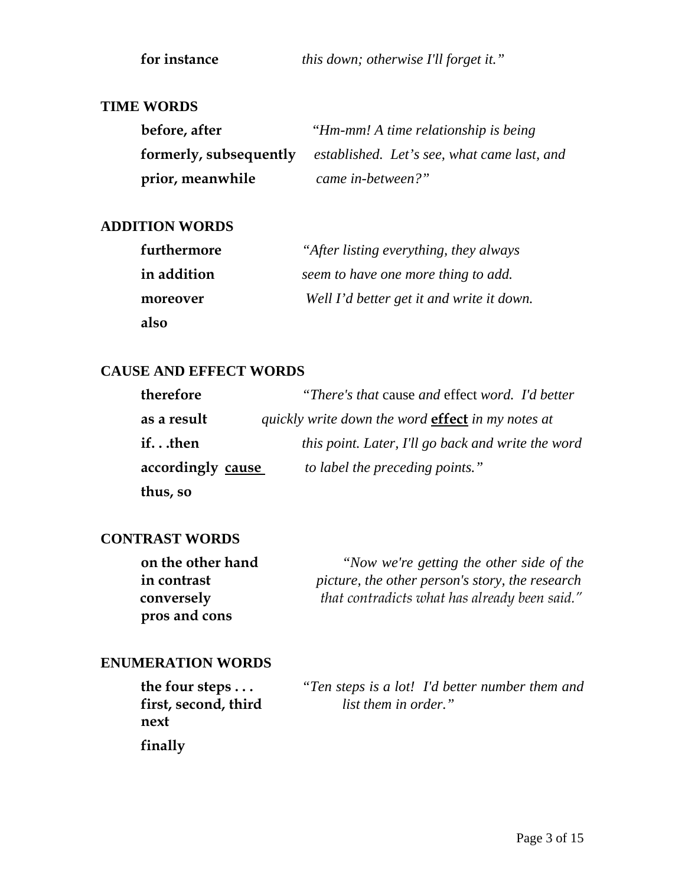| for instance | <i>this down; otherwise I'll forget it.</i> " |  |  |
|--------------|-----------------------------------------------|--|--|
|              |                                               |  |  |

## **TIME WORDS**

| before, after    | "Hm-mm! A time relationship is being"                                     |
|------------------|---------------------------------------------------------------------------|
|                  | <b>formerly, subsequently</b> established. Let's see, what came last, and |
| prior, meanwhile | came in-between?"                                                         |

#### **ADDITION WORDS**

| furthermore | "After listing everything, they always"   |
|-------------|-------------------------------------------|
| in addition | seem to have one more thing to add.       |
| moreover    | Well I'd better get it and write it down. |
| also        |                                           |

# **CAUSE AND EFFECT WORDS**

| therefore         | "There's that cause and effect word. I'd better          |
|-------------------|----------------------------------------------------------|
| as a result       | quickly write down the word <b>effect</b> in my notes at |
| ifthen            | this point. Later, I'll go back and write the word       |
| accordingly cause | to label the preceding points."                          |
| thus, so          |                                                          |

## **CONTRAST WORDS**

| on the other hand | "Now we're getting the other side of the        |
|-------------------|-------------------------------------------------|
| in contrast       | picture, the other person's story, the research |
| conversely        | that contradicts what has already been said."   |
| pros and cons     |                                                 |

## **ENUMERATION WORDS**

| the four steps $\dots$ | "Ten steps is a lot! I'd better number them and |
|------------------------|-------------------------------------------------|
| first, second, third   | <i>list them in order.</i> "                    |
| next                   |                                                 |
| finally                |                                                 |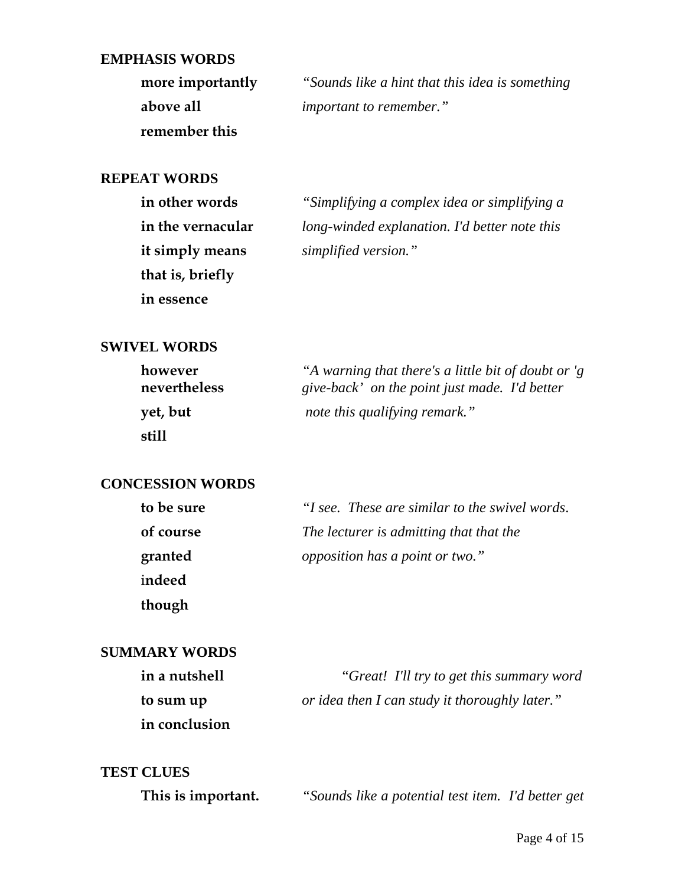# **EMPHASIS WORDS**

 **remember this**

 **more importantly** *"Sounds like a hint that this idea is something*   **above all** *important to remember."*

### **REPEAT WORDS**

| in other words    | "Simplifying a complex idea or simplifying a  |
|-------------------|-----------------------------------------------|
| in the vernacular | long-winded explanation. I'd better note this |
| it simply means   | simplified version."                          |
| that is, briefly  |                                               |
| ın essence        |                                               |

#### **SWIVEL WORDS**

| however<br>nevertheless | "A warning that there's a little bit of doubt or 'g<br>give-back' on the point just made. I'd better |
|-------------------------|------------------------------------------------------------------------------------------------------|
| yet, but                | note this qualifying remark."                                                                        |
| still                   |                                                                                                      |

#### **CONCESSION WORDS**

| to be sure | "I see. These are similar to the swivel words." |
|------------|-------------------------------------------------|
| of course  | The lecturer is admitting that that the         |
| granted    | opposition has a point or two."                 |
| indeed     |                                                 |
| though     |                                                 |

#### **SUMMARY WORDS**

| in a nutshell | "Great! I'll try to get this summary word      |
|---------------|------------------------------------------------|
| to sum up     | or idea then I can study it thoroughly later." |
| in conclusion |                                                |

**TEST CLUES**

 **This is important.** *"Sounds like a potential test item. I'd better get*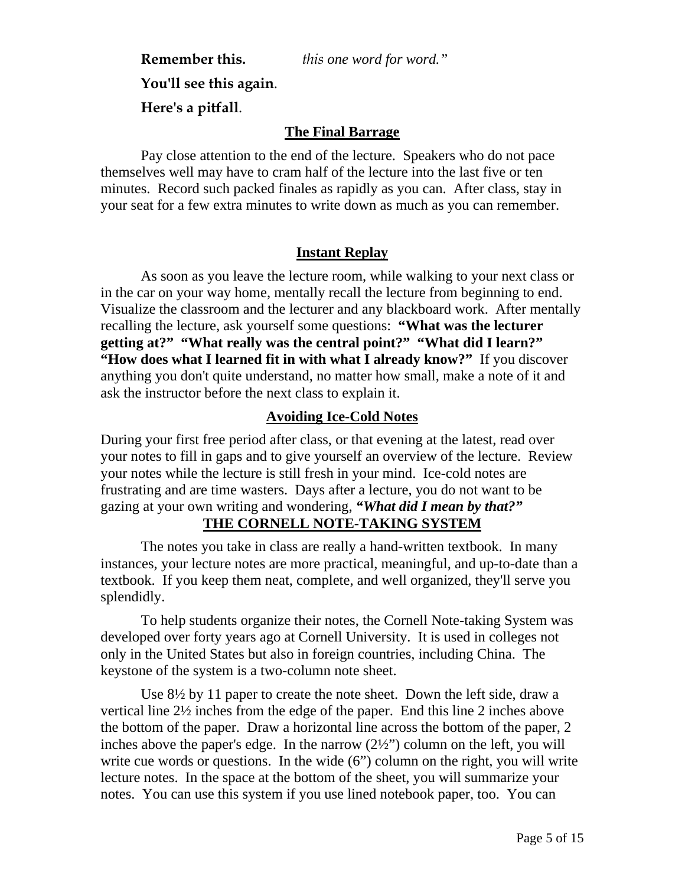**Remember this.** *this one word for word."*  **You'll see this again**.  **Here's a pitfall**.

#### **The Final Barrage**

 Pay close attention to the end of the lecture. Speakers who do not pace themselves well may have to cram half of the lecture into the last five or ten minutes. Record such packed finales as rapidly as you can. After class, stay in your seat for a few extra minutes to write down as much as you can remember.

## **Instant Replay**

 As soon as you leave the lecture room, while walking to your next class or in the car on your way home, mentally recall the lecture from beginning to end. Visualize the classroom and the lecturer and any blackboard work. After mentally recalling the lecture, ask yourself some questions: **"What was the lecturer getting at?" "What really was the central point?" "What did I learn?" "How does what I learned fit in with what I already know?"** If you discover anything you don't quite understand, no matter how small, make a note of it and ask the instructor before the next class to explain it.

## **Avoiding Ice-Cold Notes**

During your first free period after class, or that evening at the latest, read over your notes to fill in gaps and to give yourself an overview of the lecture. Review your notes while the lecture is still fresh in your mind. Ice-cold notes are frustrating and are time wasters. Days after a lecture, you do not want to be gazing at your own writing and wondering, *"What did I mean by that?"* **THE CORNELL NOTE-TAKING SYSTEM**

 The notes you take in class are really a hand-written textbook. In many instances, your lecture notes are more practical, meaningful, and up-to-date than a textbook. If you keep them neat, complete, and well organized, they'll serve you splendidly.

 To help students organize their notes, the Cornell Note-taking System was developed over forty years ago at Cornell University. It is used in colleges not only in the United States but also in foreign countries, including China. The keystone of the system is a two-column note sheet.

 Use 8½ by 11 paper to create the note sheet. Down the left side, draw a vertical line 2½ inches from the edge of the paper. End this line 2 inches above the bottom of the paper. Draw a horizontal line across the bottom of the paper, 2 inches above the paper's edge. In the narrow  $(2\frac{1}{2})$  column on the left, you will write cue words or questions. In the wide (6") column on the right, you will write lecture notes. In the space at the bottom of the sheet, you will summarize your notes. You can use this system if you use lined notebook paper, too. You can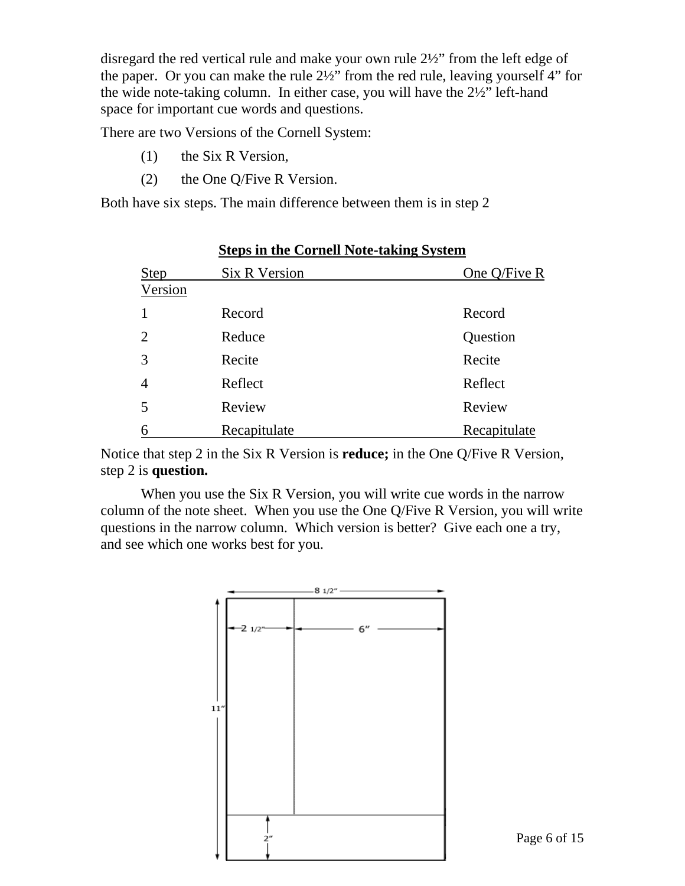disregard the red vertical rule and make your own rule 2½" from the left edge of the paper. Or you can make the rule 2½" from the red rule, leaving yourself 4" for the wide note-taking column. In either case, you will have the 2½" left-hand space for important cue words and questions.

There are two Versions of the Cornell System:

- (1) the Six R Version,
- (2) the One Q/Five R Version.

Both have six steps. The main difference between them is in step 2

| $\beta$ and the Cornell Fole-taking by stem |                      |              |
|---------------------------------------------|----------------------|--------------|
| <b>Step</b>                                 | <b>Six R Version</b> | One Q/Five R |
| Version                                     |                      |              |
|                                             | Record               | Record       |
| $\overline{2}$                              | Reduce               | Question     |
| 3                                           | Recite               | Recite       |
| $\overline{4}$                              | Reflect              | Reflect      |
| 5                                           | Review               | Review       |
| 6                                           | Recapitulate         | Recapitulate |

#### **Steps in the Cornell Note-taking System**

Notice that step 2 in the Six R Version is **reduce;** in the One Q/Five R Version, step 2 is **question.**

 When you use the Six R Version, you will write cue words in the narrow column of the note sheet. When you use the One Q/Five R Version, you will write questions in the narrow column. Which version is better? Give each one a try, and see which one works best for you.

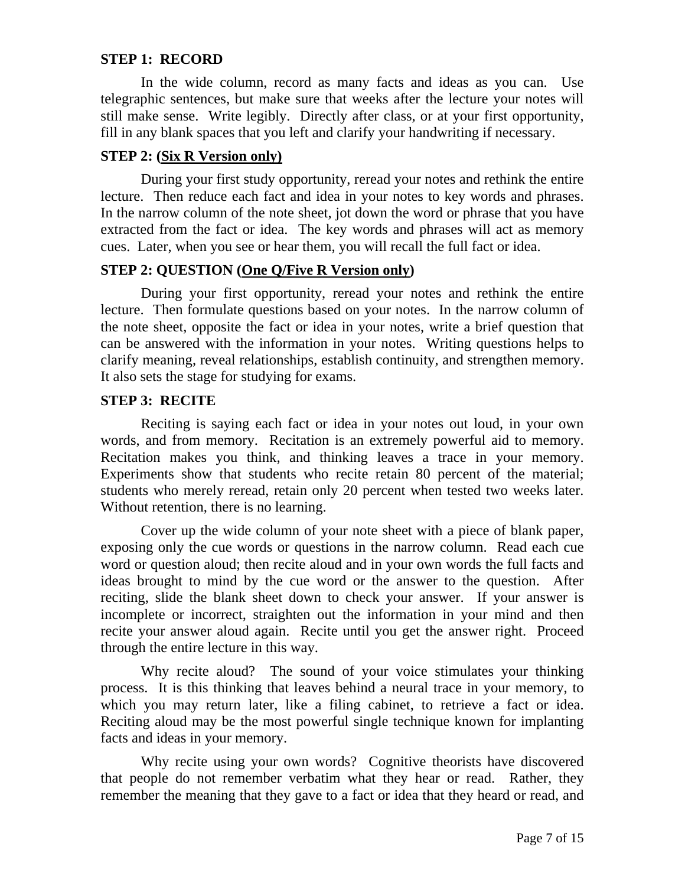#### **STEP 1: RECORD**

 In the wide column, record as many facts and ideas as you can. Use telegraphic sentences, but make sure that weeks after the lecture your notes will still make sense. Write legibly. Directly after class, or at your first opportunity, fill in any blank spaces that you left and clarify your handwriting if necessary.

#### **STEP 2: (Six R Version only)**

 During your first study opportunity, reread your notes and rethink the entire lecture. Then reduce each fact and idea in your notes to key words and phrases. In the narrow column of the note sheet, jot down the word or phrase that you have extracted from the fact or idea. The key words and phrases will act as memory cues. Later, when you see or hear them, you will recall the full fact or idea.

#### **STEP 2: QUESTION (One Q/Five R Version only)**

 During your first opportunity, reread your notes and rethink the entire lecture. Then formulate questions based on your notes. In the narrow column of the note sheet, opposite the fact or idea in your notes, write a brief question that can be answered with the information in your notes. Writing questions helps to clarify meaning, reveal relationships, establish continuity, and strengthen memory. It also sets the stage for studying for exams.

#### **STEP 3: RECITE**

 Reciting is saying each fact or idea in your notes out loud, in your own words, and from memory. Recitation is an extremely powerful aid to memory. Recitation makes you think, and thinking leaves a trace in your memory. Experiments show that students who recite retain 80 percent of the material; students who merely reread, retain only 20 percent when tested two weeks later. Without retention, there is no learning.

 Cover up the wide column of your note sheet with a piece of blank paper, exposing only the cue words or questions in the narrow column. Read each cue word or question aloud; then recite aloud and in your own words the full facts and ideas brought to mind by the cue word or the answer to the question. After reciting, slide the blank sheet down to check your answer. If your answer is incomplete or incorrect, straighten out the information in your mind and then recite your answer aloud again. Recite until you get the answer right. Proceed through the entire lecture in this way.

 Why recite aloud? The sound of your voice stimulates your thinking process. It is this thinking that leaves behind a neural trace in your memory, to which you may return later, like a filing cabinet, to retrieve a fact or idea. Reciting aloud may be the most powerful single technique known for implanting facts and ideas in your memory.

 Why recite using your own words? Cognitive theorists have discovered that people do not remember verbatim what they hear or read. Rather, they remember the meaning that they gave to a fact or idea that they heard or read, and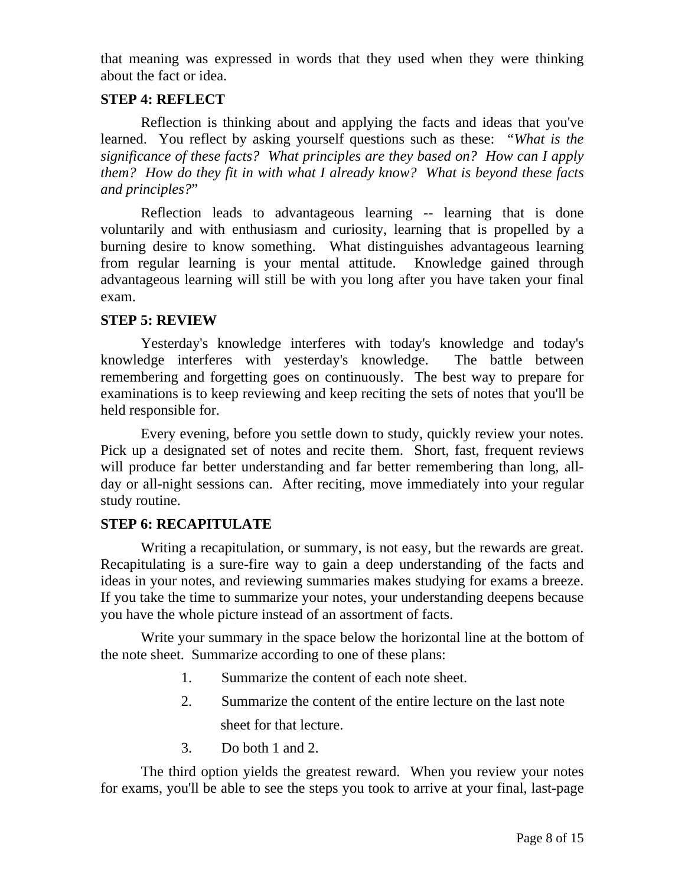that meaning was expressed in words that they used when they were thinking about the fact or idea.

### **STEP 4: REFLECT**

 Reflection is thinking about and applying the facts and ideas that you've learned. You reflect by asking yourself questions such as these: *"What is the significance of these facts? What principles are they based on? How can I apply them? How do they fit in with what I already know? What is beyond these facts and principles?*"

 Reflection leads to advantageous learning -- learning that is done voluntarily and with enthusiasm and curiosity, learning that is propelled by a burning desire to know something. What distinguishes advantageous learning from regular learning is your mental attitude. Knowledge gained through advantageous learning will still be with you long after you have taken your final exam.

#### **STEP 5: REVIEW**

 Yesterday's knowledge interferes with today's knowledge and today's knowledge interferes with yesterday's knowledge. The battle between remembering and forgetting goes on continuously. The best way to prepare for examinations is to keep reviewing and keep reciting the sets of notes that you'll be held responsible for.

 Every evening, before you settle down to study, quickly review your notes. Pick up a designated set of notes and recite them. Short, fast, frequent reviews will produce far better understanding and far better remembering than long, allday or all-night sessions can. After reciting, move immediately into your regular study routine.

# **STEP 6: RECAPITULATE**

 Writing a recapitulation, or summary, is not easy, but the rewards are great. Recapitulating is a sure-fire way to gain a deep understanding of the facts and ideas in your notes, and reviewing summaries makes studying for exams a breeze. If you take the time to summarize your notes, your understanding deepens because you have the whole picture instead of an assortment of facts.

 Write your summary in the space below the horizontal line at the bottom of the note sheet. Summarize according to one of these plans:

- 1. Summarize the content of each note sheet.
- 2. Summarize the content of the entire lecture on the last note sheet for that lecture.
- 3. Do both 1 and 2.

 The third option yields the greatest reward. When you review your notes for exams, you'll be able to see the steps you took to arrive at your final, last-page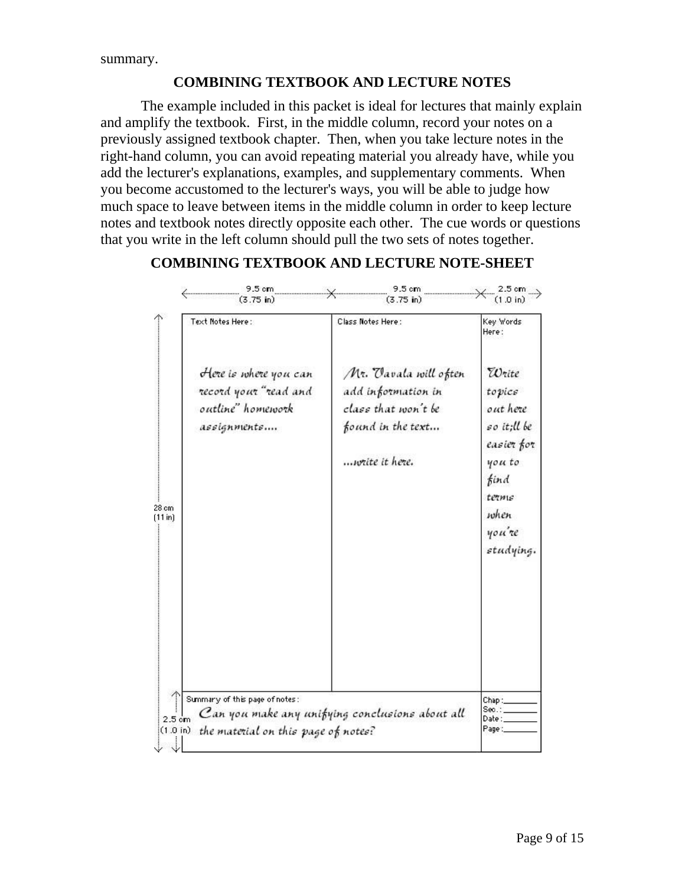summary.

#### **COMBINING TEXTBOOK AND LECTURE NOTES**

 The example included in this packet is ideal for lectures that mainly explain and amplify the textbook. First, in the middle column, record your notes on a previously assigned textbook chapter. Then, when you take lecture notes in the right-hand column, you can avoid repeating material you already have, while you add the lecturer's explanations, examples, and supplementary comments. When you become accustomed to the lecturer's ways, you will be able to judge how much space to leave between items in the middle column in order to keep lecture notes and textbook notes directly opposite each other. The cue words or questions that you write in the left column should pull the two sets of notes together.

| Text Notes Here:                                                                                   | Class Notes Here:                                                                       | Key Words<br>Here:                                       |
|----------------------------------------------------------------------------------------------------|-----------------------------------------------------------------------------------------|----------------------------------------------------------|
| Here is where you can<br>record your "read and<br>outline" homework<br>assignments                 | Mr. Vavala will often<br>add information in<br>class that won't be<br>found in the text | Write<br>topics<br>out here<br>so it;ll be<br>easier for |
|                                                                                                    | write it here.                                                                          | you to<br>find<br>terms<br>when<br>чои че<br>studying.   |
| Summary of this page of notes:<br>$2.5 \text{ cm}$<br>(1.0 in) the material on this page of notes? | Can you make any unifying conclusions about all                                         | Chap:_<br>Sec…∵<br>Date : ,<br>Page:_                    |

#### **COMBINING TEXTBOOK AND LECTURE NOTE-SHEET**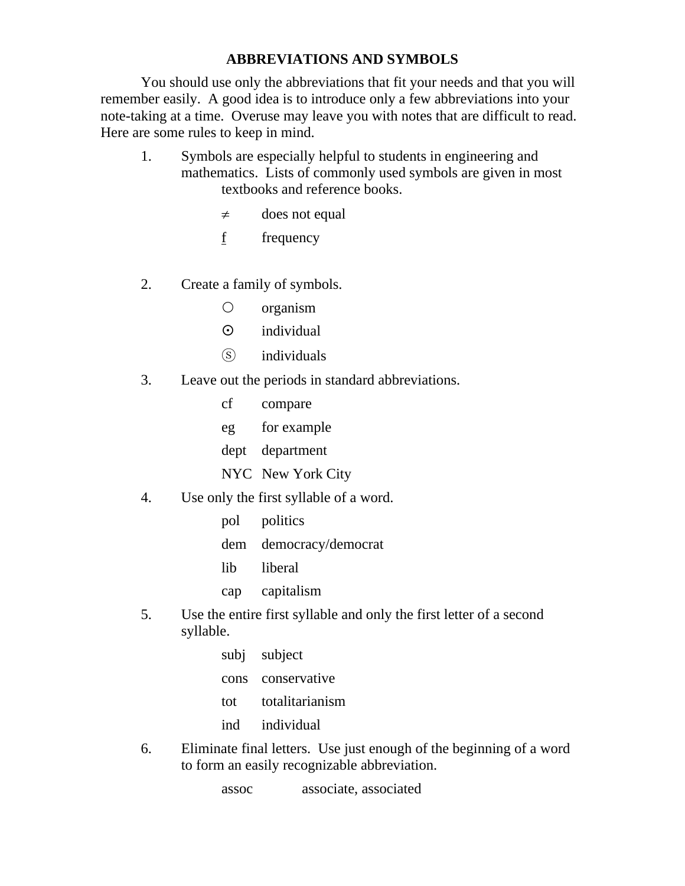### **ABBREVIATIONS AND SYMBOLS**

 You should use only the abbreviations that fit your needs and that you will remember easily. A good idea is to introduce only a few abbreviations into your note-taking at a time. Overuse may leave you with notes that are difficult to read. Here are some rules to keep in mind.

- 1. Symbols are especially helpful to students in engineering and mathematics. Lists of commonly used symbols are given in most textbooks and reference books.
	- $\neq$  does not equal
	- $f$  frequency
- 2. Create a family of symbols.
	- ${\circ}$  organism
	- individual
	- ⓢ individuals
- 3. Leave out the periods in standard abbreviations.
	- cf compare
	- eg for example
	- dept department
	- NYC New York City
- 4. Use only the first syllable of a word.
	- pol politics
	- dem democracy/democrat
	- lib liberal
	- cap capitalism
- 5. Use the entire first syllable and only the first letter of a second syllable.
	- subj subject
	- cons conservative
	- tot totalitarianism
	- ind individual
- 6. Eliminate final letters. Use just enough of the beginning of a word to form an easily recognizable abbreviation.

assoc associate, associated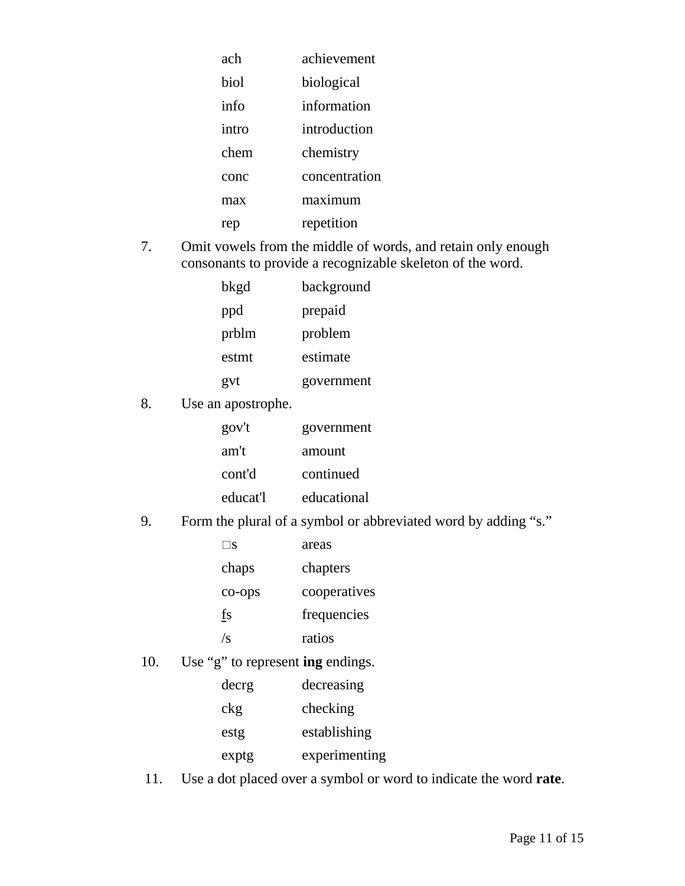| ach   | achievement   |
|-------|---------------|
| biol  | biological    |
| info  | information   |
| intro | introduction  |
| chem  | chemistry     |
| conc  | concentration |
| max   | maximum       |
| rep   | repetition    |

7. Omit vowels from the middle of words, and retain only enough consonants to provide a recognizable skeleton of the word.

| bkgd  | background |
|-------|------------|
| ppd   | prepaid    |
| prblm | problem    |
| estmt | estimate   |
| gvt   | government |

8. Use an apostrophe.

| gov't    | government  |
|----------|-------------|
| am't     | amount      |
| cont'd   | continued   |
| educat'l | educational |

9. Form the plural of a symbol or abbreviated word by adding "s."

| IS     | areas        |
|--------|--------------|
| chaps  | chapters     |
| co-ops | cooperatives |
| fs     | frequencies  |
| /s     | ratios       |
|        |              |

- 10. Use "g" to represent **ing** endings.
	- decrg decreasing ckg checking estg establishing exptg experimenting
- 11. Use a dot placed over a symbol or word to indicate the word **rate**.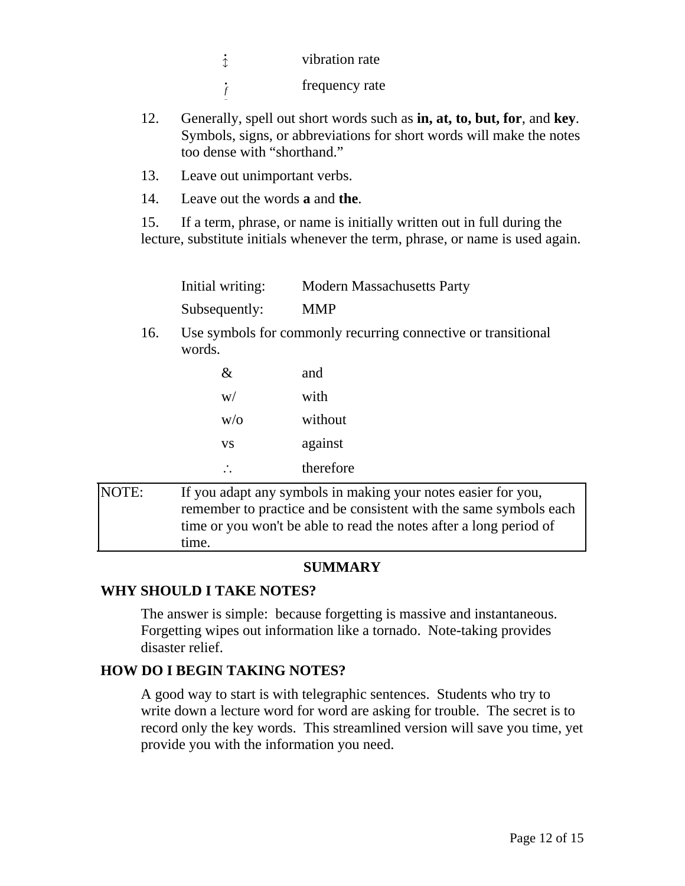|  | vibration rate |
|--|----------------|
|  | frequency rate |

- 12. Generally, spell out short words such as **in, at, to, but, for**, and **key**. Symbols, signs, or abbreviations for short words will make the notes too dense with "shorthand."
- 13. Leave out unimportant verbs.

−

14. Leave out the words **a** and **the**.

15. If a term, phrase, or name is initially written out in full during the lecture, substitute initials whenever the term, phrase, or name is used again.

| Initial writing: | <b>Modern Massachusetts Party</b> |
|------------------|-----------------------------------|
| Subsequently:    | <b>MMP</b>                        |

16. Use symbols for commonly recurring connective or transitional words.

| &   | and       |
|-----|-----------|
| W/  | with      |
| W/O | without   |
| VS  | against   |
| ٠   | therefore |
|     |           |

| NOTE: | If you adapt any symbols in making your notes easier for you,      |
|-------|--------------------------------------------------------------------|
|       | remember to practice and be consistent with the same symbols each  |
|       | time or you won't be able to read the notes after a long period of |
|       | time.                                                              |

# **SUMMARY**

# **WHY SHOULD I TAKE NOTES?**

The answer is simple: because forgetting is massive and instantaneous. Forgetting wipes out information like a tornado. Note-taking provides disaster relief.

# **HOW DO I BEGIN TAKING NOTES?**

A good way to start is with telegraphic sentences. Students who try to write down a lecture word for word are asking for trouble. The secret is to record only the key words. This streamlined version will save you time, yet provide you with the information you need.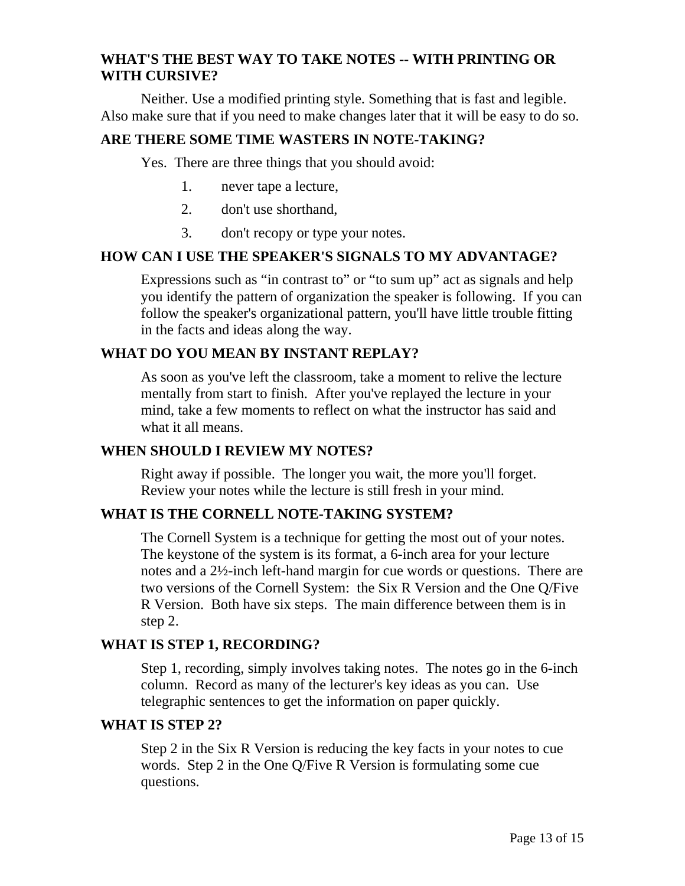# **WHAT'S THE BEST WAY TO TAKE NOTES -- WITH PRINTING OR WITH CURSIVE?**

 Neither. Use a modified printing style. Something that is fast and legible. Also make sure that if you need to make changes later that it will be easy to do so.

### **ARE THERE SOME TIME WASTERS IN NOTE-TAKING?**

Yes. There are three things that you should avoid:

- 1. never tape a lecture,
- 2. don't use shorthand,
- 3. don't recopy or type your notes.

## **HOW CAN I USE THE SPEAKER'S SIGNALS TO MY ADVANTAGE?**

Expressions such as "in contrast to" or "to sum up" act as signals and help you identify the pattern of organization the speaker is following. If you can follow the speaker's organizational pattern, you'll have little trouble fitting in the facts and ideas along the way.

#### **WHAT DO YOU MEAN BY INSTANT REPLAY?**

As soon as you've left the classroom, take a moment to relive the lecture mentally from start to finish. After you've replayed the lecture in your mind, take a few moments to reflect on what the instructor has said and what it all means.

#### **WHEN SHOULD I REVIEW MY NOTES?**

Right away if possible. The longer you wait, the more you'll forget. Review your notes while the lecture is still fresh in your mind.

#### **WHAT IS THE CORNELL NOTE-TAKING SYSTEM?**

The Cornell System is a technique for getting the most out of your notes. The keystone of the system is its format, a 6-inch area for your lecture notes and a 2½-inch left-hand margin for cue words or questions. There are two versions of the Cornell System: the Six R Version and the One Q/Five R Version. Both have six steps. The main difference between them is in step 2.

#### **WHAT IS STEP 1, RECORDING?**

Step 1, recording, simply involves taking notes. The notes go in the 6-inch column. Record as many of the lecturer's key ideas as you can. Use telegraphic sentences to get the information on paper quickly.

#### **WHAT IS STEP 2?**

Step 2 in the Six R Version is reducing the key facts in your notes to cue words. Step 2 in the One Q/Five R Version is formulating some cue questions.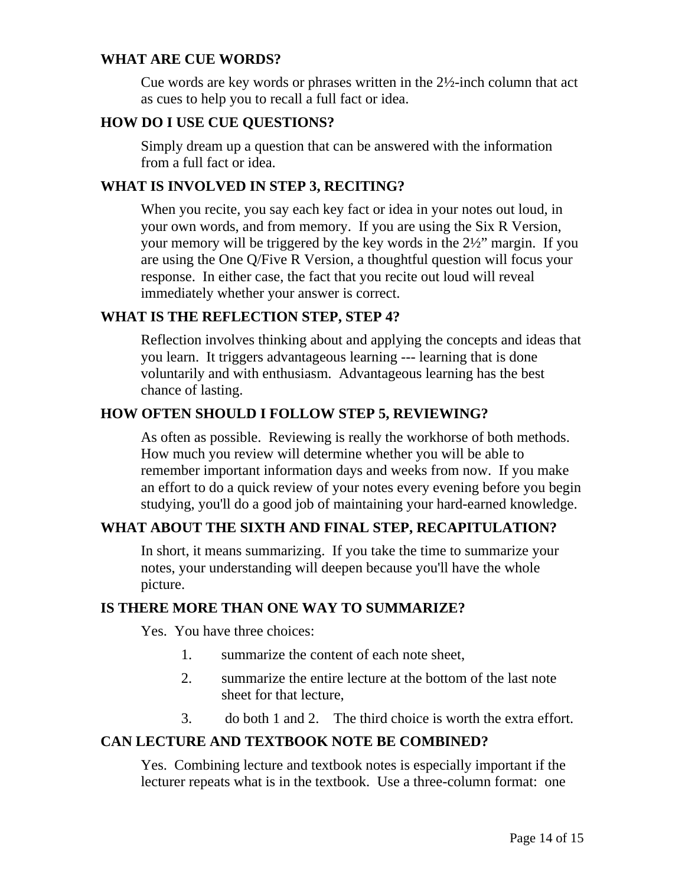#### **WHAT ARE CUE WORDS?**

Cue words are key words or phrases written in the 2½-inch column that act as cues to help you to recall a full fact or idea.

#### **HOW DO I USE CUE QUESTIONS?**

Simply dream up a question that can be answered with the information from a full fact or idea.

## **WHAT IS INVOLVED IN STEP 3, RECITING?**

When you recite, you say each key fact or idea in your notes out loud, in your own words, and from memory. If you are using the Six R Version, your memory will be triggered by the key words in the 2½" margin. If you are using the One Q/Five R Version, a thoughtful question will focus your response. In either case, the fact that you recite out loud will reveal immediately whether your answer is correct.

## **WHAT IS THE REFLECTION STEP, STEP 4?**

Reflection involves thinking about and applying the concepts and ideas that you learn. It triggers advantageous learning --- learning that is done voluntarily and with enthusiasm. Advantageous learning has the best chance of lasting.

### **HOW OFTEN SHOULD I FOLLOW STEP 5, REVIEWING?**

As often as possible. Reviewing is really the workhorse of both methods. How much you review will determine whether you will be able to remember important information days and weeks from now. If you make an effort to do a quick review of your notes every evening before you begin studying, you'll do a good job of maintaining your hard-earned knowledge.

# **WHAT ABOUT THE SIXTH AND FINAL STEP, RECAPITULATION?**

In short, it means summarizing. If you take the time to summarize your notes, your understanding will deepen because you'll have the whole picture.

#### **IS THERE MORE THAN ONE WAY TO SUMMARIZE?**

Yes. You have three choices:

- 1. summarize the content of each note sheet,
- 2. summarize the entire lecture at the bottom of the last note sheet for that lecture,
- 3. do both 1 and 2. The third choice is worth the extra effort.

#### **CAN LECTURE AND TEXTBOOK NOTE BE COMBINED?**

Yes. Combining lecture and textbook notes is especially important if the lecturer repeats what is in the textbook. Use a three-column format: one